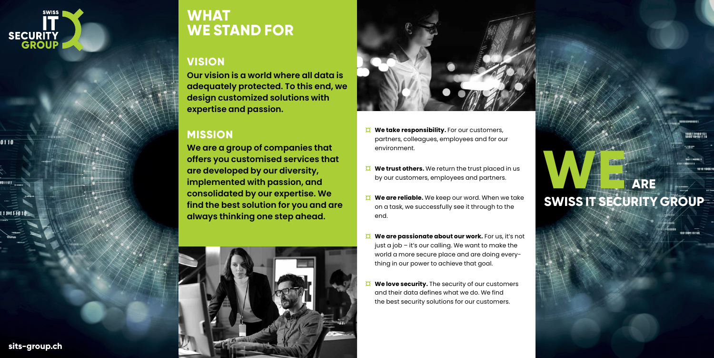

 $\overline{0110}$ 

10110E

1110111010

# **MERCHANNEL SWISS IT SECURITY GROUP**

**sits-group.ch**

## **WHAT WE STAND FOR**

### **VISION**

**Our vision is a world where all data is adequately protected. To this end, we design customized solutions with expertise and passion.** 

### **MISSION**

**We are a group of companies that offers you customised services that are developed by our diversity, implemented with passion, and consolidated by our expertise. We find the best solution for you and are always thinking one step ahead.**





- **We take responsibility.** For our customers, partners, colleagues, employees and for our environment.
- *N* We trust others. We return the trust placed in us by our customers, employees and partners.
- **We are reliable.** We keep our word. When we take  $\sigma$ on a task, we successfully see it through to the end.
- **We are passionate about our work.** For us, it's not ¤ just a job – it's our calling. We want to make the world a more secure place and are doing everything in our power to achieve that goal.
- **We love security.** The security of our customers and their data defines what we do. We find the best security solutions for our customers.